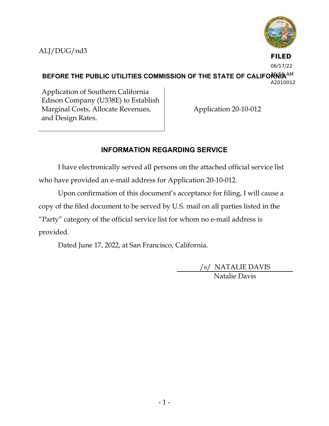ALJ/DUG/nd3



**FILED**

BEFORE THE PUBLIC UTILITIES COMMISSION OF THE STATE OF CALIFORNI<sup>SAM</sup> 06/17/22

A2010012

Application of Southern California Edison Company (U338E) to Establish Marginal Costs, Allocate Revenues, and Design Rates.

Application 20-10-012

# **INFORMATION REGARDING SERVICE**

I have electronically served all persons on the attached official service list who have provided an e-mail address for Application 20-10-012.

Upon confirmation of this document's acceptance for filing, I will cause a copy of the filed document to be served by U.S. mail on all parties listed in the "Party" category of the official service list for whom no e-mail address is provided.

Dated June 17, 2022, at San Francisco, California.

/s/ NATALIE DAVIS Natalie Davis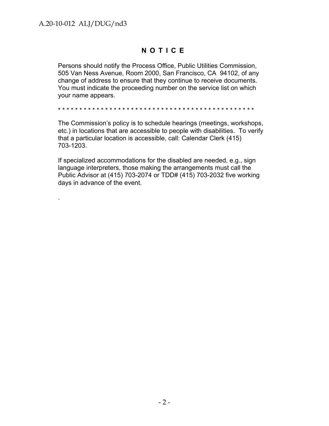.

## **NOTICE**

Persons should notify the Process Office, Public Utilities Commission, 505 Van Ness Avenue, Room 2000, San Francisco, CA 94102, of any change of address to ensure that they continue to receive documents. You must indicate the proceeding number on the service list on which your name appears.

\* \* \* \* \* \* \* \* \* \* \* \* \* \* \* \* \* \* \* \* \* \* \* \* \* \* \* \* \* \* \* \* \* \* \* \* \* \* \* \* \* \* \* \* \* \*

The Commission's policy is to schedule hearings (meetings, workshops, etc.) in locations that are accessible to people with disabilities. To verify that a particular location is accessible, call: Calendar Clerk (415) 703-1203.

If specialized accommodations for the disabled are needed, e.g., sign language interpreters, those making the arrangements must call the Public Advisor at (415) 703-2074 or TDD# (415) 703-2032 five working days in advance of the event.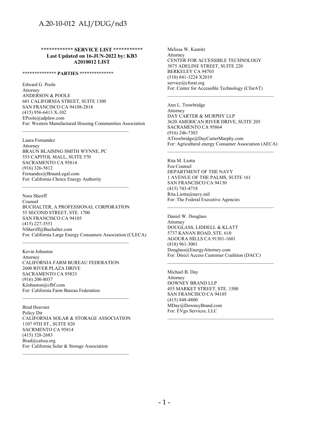**\*\*\*\*\*\*\*\*\*\*\*\* SERVICE LIST \*\*\*\*\*\*\*\*\*\*\* Last Updated on 16-JUN-2022 by: KB3 A2010012 LIST**

#### **\*\*\*\*\*\*\*\*\*\*\*\*\*\* PARTIES \*\*\*\*\*\*\*\*\*\*\*\*\*\***

Edward G. Poole Attorney ANDERSON & POOLE 601 CALIFORNIA STREET, SUITE 1300 SAN FRANCISCO CA 94108-2818 (415) 956-6413 X-102 EPoole@adplaw.com For: Western Manufactured Housing Communities Association

\_\_\_\_\_\_\_\_\_\_\_\_\_\_\_\_\_\_\_\_\_\_\_\_\_\_\_\_\_\_\_\_\_\_\_\_\_\_\_\_\_\_\_\_

\_\_\_\_\_\_\_\_\_\_\_\_\_\_\_\_\_\_\_\_\_\_\_\_\_\_\_\_\_\_\_\_\_\_\_\_\_\_\_\_\_\_\_\_

Laura Fernandez Attorney BRAUN BLAISING SMITH WYNNE, PC 555 CAPITOL MALL, SUITE 570 SACRAMENTO CA 95814 (916) 326-5812 Fernandez@BraunLegal.com For: California Choice Energy Authority

Nora Sheriff Counsel BUCHALTER, A PROFESSIONAL CORPORATION 55 SECOND STREET, STE. 1700 SAN FRANCISCO CA 94105 (415) 227-3551 NSheriff@Buchalter.com For: California Large Energy Consumers Association (CLECA)

\_\_\_\_\_\_\_\_\_\_\_\_\_\_\_\_\_\_\_\_\_\_\_\_\_\_\_\_\_\_\_\_\_\_\_\_\_\_\_\_\_\_\_\_

Kevin Johnston Attorney CALIFORNIA FARM BUREAU FEDERATION 2600 RIVER PLAZA DRIVE SACRAMENTO CA 95833 (916) 200-8037 KJohnston@cfbf.com For: California Farm Bureau Federation

Brad Heavner Policy Dir CALIFORNIA SOLAR & STORAGE ASSOCIATION 1107 9TH ST., SUITE 820 SACRMENTO CA 95814 (415) 328-2683 Brad@calssa.org For: California Solar & Storage Association \_\_\_\_\_\_\_\_\_\_\_\_\_\_\_\_\_\_\_\_\_\_\_\_\_\_\_\_\_\_\_\_\_\_\_\_\_\_\_\_\_\_\_\_

\_\_\_\_\_\_\_\_\_\_\_\_\_\_\_\_\_\_\_\_\_\_\_\_\_\_\_\_\_\_\_\_\_\_\_\_\_\_\_\_\_\_\_\_

Melissa W. Kasnitz Attorney CENTER FOR ACCESSIBLE TECHNOLOGY 3075 ADELINE STREET, SUITE 220 BERKELEY CA 94703 (510) 841-3224 X2019 service@cforat.org For: Center for Accessible Technology (CforAT)

Ann L. Trowbridge Attorney DAY CARTER & MURPHY LLP 3620 AMERICAN RIVER DRIVE, SUITE 205 SACRAMENTO CA 95864 (916) 246-7303 ATrowbridge@DayCarterMurphy.com For: Agricultural energy Consumer Association (AECA)

\_\_\_\_\_\_\_\_\_\_\_\_\_\_\_\_\_\_\_\_\_\_\_\_\_\_\_\_\_\_\_\_\_\_\_\_\_\_\_\_\_\_\_\_

\_\_\_\_\_\_\_\_\_\_\_\_\_\_\_\_\_\_\_\_\_\_\_\_\_\_\_\_\_\_\_\_\_\_\_\_\_\_\_\_\_\_\_\_

\_\_\_\_\_\_\_\_\_\_\_\_\_\_\_\_\_\_\_\_\_\_\_\_\_\_\_\_\_\_\_\_\_\_\_\_\_\_\_\_\_\_\_\_

Rita M. Liotta Fea Counsel DEPARTMENT OF THE NAVY 1 AVENUE OF THE PALMS, SUITE 161 SAN FRANCISCO CA 94130 (415) 743-4718 Rita.Liotta@navy.mil For: The Federal Executive Agencies

Daniel W. Douglass Attorney DOUGLASS, LIDDELL & KLATT 5737 KANAN ROAD, STE. 610 AGOURA HILLS CA 91301-1601 (818) 961-3001 Douglass@EnergyAttorney.com For: Direct Access Customer Coalition (DACC)

Michael B. Day Attorney DOWNEY BRAND LLP 455 MARKET STREET, STE. 1500 SAN FRANCISCO CA 94105 (415) 848-4800 MDay@DowneyBrand.com For: EVgo Services, LLC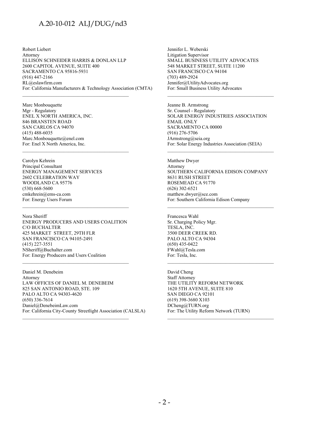Robert Liebert Attorney ELLISON SCHNEIDER HARRIS & DONLAN LLP 2600 CAPITOL AVENUE, SUITE 400 SACRAMENTO CA 95816-5931 (916) 447-2166 RL@eslawfirm.com For: California Manufacturers & Technology Association (CMTA)

\_\_\_\_\_\_\_\_\_\_\_\_\_\_\_\_\_\_\_\_\_\_\_\_\_\_\_\_\_\_\_\_\_\_\_\_\_\_\_\_\_\_\_\_

\_\_\_\_\_\_\_\_\_\_\_\_\_\_\_\_\_\_\_\_\_\_\_\_\_\_\_\_\_\_\_\_\_\_\_\_\_\_\_\_\_\_\_\_

Marc Monbouquette Mgr - Regulatory ENEL X NORTH AMERICA, INC. 846 BRANSTEN ROAD SAN CARLOS CA 94070 (415) 488-6035 Marc.Monbouquette@enel.com For: Enel X North America, Inc.

Carolyn Kehrein Principal Consultant ENERGY MANAGEMENT SERVICES 2602 CELEBRATION WAY WOODLAND CA 95776 (530) 668-5600 cmkehrein@ems-ca.com For: Energy Users Forum

Nora Sheriff ENERGY PRODUCERS AND USERS COALITION C/O BUCHALTER 425 MARKET STREET, 29TH FLR SAN FRANCISCO CA 94105-2491 (415) 227-3551 NSheriff@Buchalter.com For: Energy Producers and Users Coalition

\_\_\_\_\_\_\_\_\_\_\_\_\_\_\_\_\_\_\_\_\_\_\_\_\_\_\_\_\_\_\_\_\_\_\_\_\_\_\_\_\_\_\_\_

Daniel M. Denebeim Attorney LAW OFFICES OF DANIEL M. DENEBEIM 825 SAN ANTONIO ROAD, STE. 109 PALO ALTO CA 94303-4620 (650) 336-7614 Daniel@DenebeimLaw.com For: California City-County Streetlight Association (CALSLA) Jennifer L. Weberski Litigation Supervisor SMALL BUSINESS UTILITY ADVOCATES 548 MARKET STREET, SUITE 11200 SAN FRANCISCO CA 94104 (703) 489-2924 Jennifer@UtilityAdvocates.org For: Small Business Utility Advocates

Jeanne B. Armstrong Sr. Counsel - Regulatory SOLAR ENERGY INDUSTRIES ASSOCIATION EMAIL ONLY SACRAMENTO CA 00000 (916) 276-5706 JArmstrong@seia.org For: Solar Energy Industries Association (SEIA)

\_\_\_\_\_\_\_\_\_\_\_\_\_\_\_\_\_\_\_\_\_\_\_\_\_\_\_\_\_\_\_\_\_\_\_\_\_\_\_\_\_\_\_\_

\_\_\_\_\_\_\_\_\_\_\_\_\_\_\_\_\_\_\_\_\_\_\_\_\_\_\_\_\_\_\_\_\_\_\_\_\_\_\_\_\_\_\_\_

Matthew Dwyer Attorney SOUTHERN CALIFORNIA EDISON COMPANY 8631 RUSH STREET ROSEMEAD CA 91770 (626) 302-6521 matthew.dwyer@sce.com For: Southern California Edison Company

\_\_\_\_\_\_\_\_\_\_\_\_\_\_\_\_\_\_\_\_\_\_\_\_\_\_\_\_\_\_\_\_\_\_\_\_\_\_\_\_\_\_\_\_

Francesca Wahl Sr. Charging Policy Mgr. TESLA, INC. 3500 DEER CREEK RD. PALO ALTO CA 94304 (650) 435-0422 FWahl@Tesla.com For: Tesla, Inc.

David Cheng Staff Attorney THE UTILITY REFORM NETWORK 1620 5TH AVENUE, SUITE 810 SAN DIEGO CA 92101 (619) 398-3680 X103 DCheng@TURN.org For: The Utility Reform Network (TURN)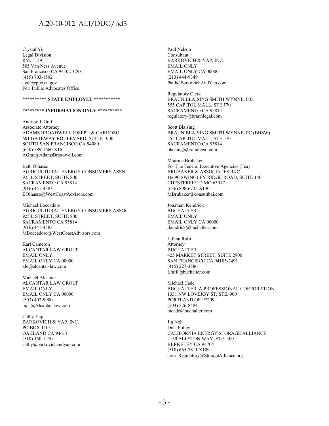Crystal Yu Legal Division RM. 5139 505 Van Ness Avenue San Francisco CA 94102 3298 (415) 703-1592 cyu@cpuc.ca.gov For: Public Advocates Office

#### **\*\*\*\*\*\*\*\*\*\* STATE EMPLOYEE \*\*\*\*\*\*\*\*\*\*\***

#### **\*\*\*\*\*\*\*\*\* INFORMATION ONLY \*\*\*\*\*\*\*\*\*\***

Andrew J. Graf Associate Attorney ADAMS BROADWELL JOSEPH & CARDOZO 601 GATEWAY BOULEVARD, SUITE 1000 SOUTH SAN FRANCISCO CA 94080 (650) 589-1660 X16 AGraf@AdamsBroadwell.com

Beth Olhasso AGRICULTURAL ENERGY CONSUMERS ASSN 925 L STREET, SUITE 800 SACRAMENTO CA 95814 (916) 441-4383 BOlhasso@WestCoastAdvisors.com

Michael Boccadoro AGRICULTURAL ENERGY CONSUMERS ASSOC. 925 L STREET, SUITE 800 SACRAMENTO CA 95814 (916) 441-4383 MBoccadoro@WestCoastAdvisors.com

Kari Cameron ALCANTAR LAW GROUP EMAIL ONLY EMAIL ONLY CA 00000 klc@alcantar-law.com

Michael Alcantar ALCANTAR LAW GROUP EMAIL ONLY EMAIL ONLY CA 00000 (503) 402-9900 mpa@Alcantar-law.com

Cathy Yap BARKOVICH & YAP, INC. PO BOX 11031 OAKLAND CA 94611 (510) 450-1270 cathy@barkovichandyap.com Paul Nelson Consultant BARKOVICH & YAP, INC. EMAIL ONLY EMAIL ONLY CA 00000 (213) 444-9349 Paul@BarkovichAndYap.com

Regulatory Clerk BRAUN BLAISING SMITH WYNNE, P.C. 555 CAPITOL MALL, STE 570 SACRAMENTO CA 95814 regulatory@braunlegal.com

Scott Blaising BRAUN BLAISING SMITH WYNNE, PC (BBSW) 555 CAPITOL MALL, STE 570 SACRAMENTO CA 95814 blaising@braunlegal.com

Maurice Brubaker For The Federal Executive Agencies (Fea) BRUBAKER & ASSOCIATES, INC. 16690 SWINGLEY RIDGE ROAD, SUITE 140 CHESTERFIELD MO 63017 (636) 898-6725 X130 MBrubaker@consultbai.com

Jonathan Kendrick BUCHALTER EMAIL ONLY EMAIL ONLY CA 00000 jkendrick@buchalter.com

Lillian Rafii Attorney BUCHALTER 425 MARKET STREET, SUITE 2900 SAN FRANCISCO CA 94105-2491 (415) 227-3586 Lrafii@buchalter.com

Michael Cade BUCHALTER, A PROFESSIONAL CORPORATION 1331 NW LOVEJOY ST, STE. 900 PORTLAND OR 97209 (503) 226-8484 mcade@buchalter.com

Jin Noh Dir - Policy CALIFORNIA ENERGY STORAGE ALLIANCE 2150 ALLSTON WAY, STE. 400 BERKELEY CA 94704 (510) 665-7811 X109 cesa\_Regulatory@StorageAlliance.org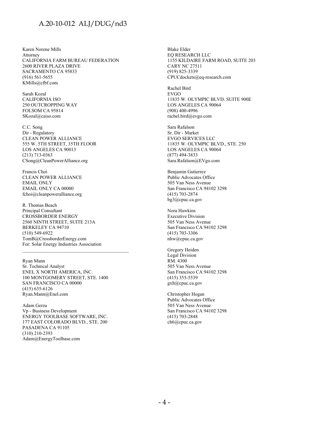Karen Norene Mills Attorney CALIFORNIA FARM BUREAU FEDERATION 2600 RIVER PLAZA DRIVE SACRAMENTO CA 95833 (916) 561-5655 KMills@cfbf.com

Sarah Kozal CALIFORNIA ISO 250 OUTCROPPING WAY FOLSOM CA 95814 SKozal@caiso.com

C.C. Song Dir - Regulatory CLEAN POWER ALLIANCE 555 W. 5TH STREET, 35TH FLOOR LOS ANGELES CA 90013 (213) 713-0363 CSong@CleanPowerAlliance.org

Francis Choi CLEAN POWER ALLIANCE EMAIL ONLY EMAIL ONLY CA 00000 fchoi@cleanpoweralliance.org

R. Thomas Beach Principal Consultant CROSSBORDER ENERGY 2560 NINTH STREET, SUITE 213A BERKELEY CA 94710 (510) 549-6922 TomB@CrossborderEnergy.com For: Solar Energy Industries Association

Ryan Mann Sr. Technical Analyst ENEL X NORTH AMERICA, INC. 100 MONTGOMERY STREET, STE. 1400 SAN FRANCISCO CA 00000 (415) 635-6126 Ryan.Mann@Enel.com

\_\_\_\_\_\_\_\_\_\_\_\_\_\_\_\_\_\_\_\_\_\_\_\_\_\_\_\_\_\_\_\_\_\_\_\_\_\_\_\_\_\_\_\_

Adam Gerza Vp - Business Development ENERGY TOOLBASE SOFTWARE, INC. 177 EAST COLORADO BLVD., STE. 200 PASADENA CA 91105 (310) 210-2393 Adam@EnergyToolbase.com

Blake Elder EQ RESEARCH LLC 1155 KILDAIRE FARM ROAD, SUITE 203 CARY NC 27511 (919) 825-3339 CPUCdockets@eq-research.com

Rachel Bird EVGO 11835 W. OLYMPIC BLVD. SUITE 900E LOS ANGELES CA 90064 (908) 400-4996 rachel.bird@evgo.com

Sara Rafalson Sr. Dir - Market EVGO SERVICES LLC 11835 W. OLYMPIC BLVD., STE. 250 LOS ANGELES CA 90064 (877) 494-3833 Sara.Rafalson@EVgo.com

Benjamin Gutierrez Public Advocates Office 505 Van Ness Avenue San Francisco CA 94102 3298 (415) 703-2874 bg3@cpuc.ca.gov

Nora Hawkins Executive Division 505 Van Ness Avenue San Francisco CA 94102 3298 (415) 703-3306 nhw@cpuc.ca.gov

Gregory Heiden Legal Division RM. 4300 505 Van Ness Avenue San Francisco CA 94102 3298 (415) 355-5539 gxh@cpuc.ca.gov

Christopher Hogan Public Advocates Office 505 Van Ness Avenue San Francisco CA 94102 3298 (415) 703-2848 ch6@cpuc.ca.gov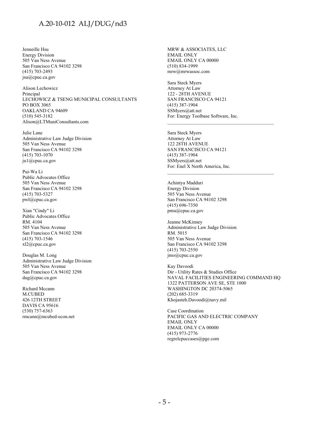Jenneille Hsu Energy Division 505 Van Ness Avenue San Francisco CA 94102 3298 (415) 703-2493 jsu@cpuc.ca.gov

Alison Lechowicz Principal LECHOWICZ & TSENG MUNICIPAL CONSULTANTS PO BOX 3065 OAKLAND CA 94609 (510) 545-3182 Alison@LTMuniConsultants.com

Julie Lane Administrative Law Judge Division 505 Van Ness Avenue San Francisco CA 94102 3298 (415) 703-1070 ju1@cpuc.ca.gov

Pui-Wa Li Public Advocates Office 505 Van Ness Avenue San Francisco CA 94102 3298 (415) 703-5327 pwl@cpuc.ca.gov

Xian "Cindy" Li Public Advocates Office RM. 4104 505 Van Ness Avenue San Francisco CA 94102 3298 (415) 703-1546 xl2@cpuc.ca.gov

Douglas M. Long Administrative Law Judge Division 505 Van Ness Avenue San Francisco CA 94102 3298 dug@cpuc.ca.gov

Richard Mccann M.CUBED 426 12TH STREET DAVIS CA 95616 (530) 757-6363 rmcann@mcubed-econ.net MRW & ASSOCIATES, LLC EMAIL ONLY EMAIL ONLY CA 00000 (510) 834-1999 mrw@mrwassoc.com

Sara Steck Myers Attorney At Law 122 - 28TH AVENUE SAN FRANCISCO CA 94121 (415) 387-1904 SSMyers@att.net For: Energy Toolbase Software, Inc.

Sara Steck Myers Attorney At Law 122 28TH AVENUE SAN FRANCISCO CA 94121 (415) 387-1904 SSMyers@att.net For: Enel X North America, Inc.

Achintya Madduri Energy Division 505 Van Ness Avenue San Francisco CA 94102 3298 (415) 696-7350 pmu@cpuc.ca.gov

Jeanne McKinney Administrative Law Judge Division RM. 5015 505 Van Ness Avenue San Francisco CA 94102 3298 (415) 703-2550 jmo@cpuc.ca.gov

Kay Davoodi Dir - Utility Rates & Studies Office NAVAL FACILITIES ENGINEERING COMMAND HQ 1322 PATTERSON AVE SE, STE 1000 WASHINGTON DC 20374-5065 (202) 685-3319 Khojasteh.Davoodi@navy.mil

\_\_\_\_\_\_\_\_\_\_\_\_\_\_\_\_\_\_\_\_\_\_\_\_\_\_\_\_\_\_\_\_\_\_\_\_\_\_\_\_\_\_\_\_

Case Coordination PACIFIC GAS AND ELECTRIC COMPANY EMAIL ONLY EMAIL ONLY CA 00000 (415) 973-2776 regrelcpuccases@pge.com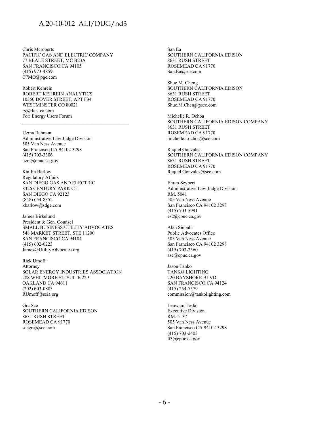Chris Mcroberts PACIFIC GAS AND ELECTRIC COMPANY 77 BEALE STREET, MC B23A SAN FRANCISCO CA 94105 (415) 973-4859 C7MO@pge.com

Robert Kehrein ROBERT KEHREIN ANALYTICS 10350 DOVER STREET, APT F34 WESTMINSTER CO 80021 rs@rkas-ca.com For: Energy Users Forum

Uzma Rehman Administrative Law Judge Division 505 Van Ness Avenue San Francisco CA 94102 3298 (415) 703-3306 uzm@cpuc.ca.gov

Kaitlin Barlow Regulatory Affairs SAN DIEGO GAS AND ELECTRIC 8326 CENTURY PARK CT. SAN DIEGO CA 92123 (858) 654-8352 kbarlow@sdge.com

James Birkelund President & Gen. Counsel SMALL BUSINESS UTILITY ADVOCATES 548 MARKET STREET, STE 11200 SAN FRANCISCO CA 94104 (415) 602-6223 James@UtilityAdvocates.org

Rick Umoff Attorney SOLAR ENERGY INDUSTRIES ASSOCIATION 288 WHITMORE ST. SUITE 229 OAKLAND CA 94611 (202) 603-0883 RUmoff@seia.org

Grc Sce SOUTHERN CALIFORNIA EDISON 8631 RUSH STREET ROSEMEAD CA 91770 scegrc@sce.com

San Ea SOUTHERN CALIFORNIA EDISON 8631 RUSH STREET ROSEMEAD CA 91770 San.Ea@sce.com

Shue M. Cheng SOUTHERN CALIFORNIA EDISON 8631 RUSH STREET ROSEMEAD CA 91770 Shue.M.Cheng@sce.com

Michelle R. Ochoa SOUTHERN CALIFORNIA EDISON COMPANY 8631 RUSH STREET ROSEMEAD CA 91770 michelle.r.ochoa@sce.com

Raquel Gonzales SOUTHERN CALIFORNIA EDISON COMPANY 8631 RUSH STREET ROSEMEAD CA 91770 Raquel.Gonzalez@sce.com

Ehren Seybert Administrative Law Judge Division RM. 5041 505 Van Ness Avenue San Francisco CA 94102 3298 (415) 703-5991 es2@cpuc.ca.gov

Alan Siebuhr Public Advocates Office 505 Van Ness Avenue San Francisco CA 94102 3298 (415) 703-2360 ase@cpuc.ca.gov

Jason Tanko TANKO LIGHTING 220 BAYSHORE BLVD SAN FRANCISCO CA 94124 (415) 254-7579 commission@tankolighting.com

Leuwam Tesfai Executive Division RM. 5137 505 Van Ness Avenue San Francisco CA 94102 3298 (415) 703-2403 lt3@cpuc.ca.gov